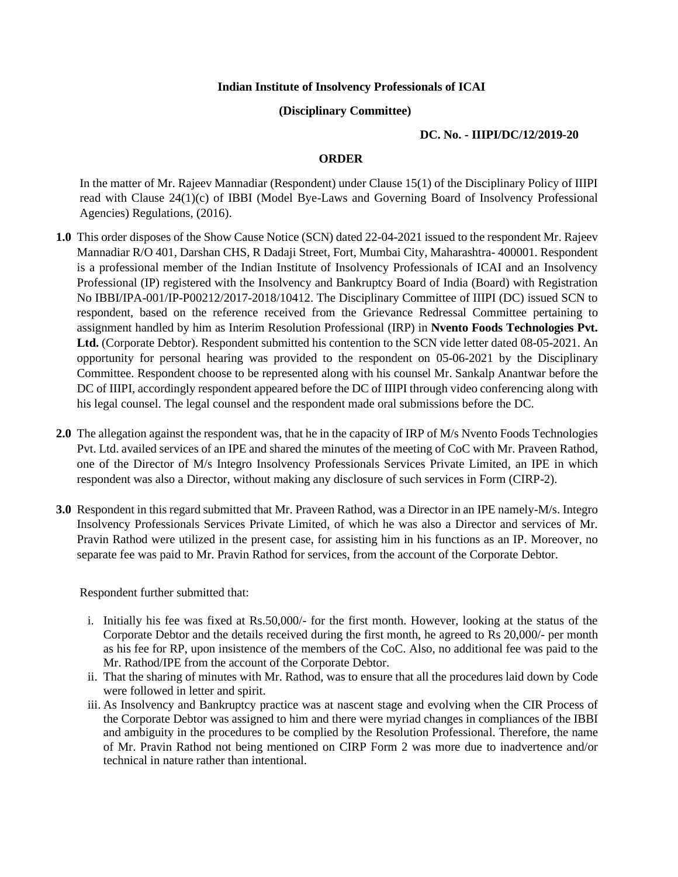## **Indian Institute of Insolvency Professionals of ICAI**

## **(Disciplinary Committee)**

## **DC. No. - IIIPI/DC/12/2019-20**

## **ORDER**

In the matter of Mr. Rajeev Mannadiar (Respondent) under Clause 15(1) of the Disciplinary Policy of IIIPI read with Clause 24(1)(c) of IBBI (Model Bye-Laws and Governing Board of Insolvency Professional Agencies) Regulations, (2016).

- **1.0** This order disposes of the Show Cause Notice (SCN) dated 22-04-2021 issued to the respondent Mr. Rajeev Mannadiar R/O 401, Darshan CHS, R Dadaji Street, Fort, Mumbai City, Maharashtra- 400001. Respondent is a professional member of the Indian Institute of Insolvency Professionals of ICAI and an Insolvency Professional (IP) registered with the Insolvency and Bankruptcy Board of India (Board) with Registration No IBBI/IPA-001/IP-P00212/2017-2018/10412. The Disciplinary Committee of IIIPI (DC) issued SCN to respondent, based on the reference received from the Grievance Redressal Committee pertaining to assignment handled by him as Interim Resolution Professional (IRP) in **Nvento Foods Technologies Pvt. Ltd.** (Corporate Debtor). Respondent submitted his contention to the SCN vide letter dated 08-05-2021. An opportunity for personal hearing was provided to the respondent on 05-06-2021 by the Disciplinary Committee. Respondent choose to be represented along with his counsel Mr. Sankalp Anantwar before the DC of IIIPI, accordingly respondent appeared before the DC of IIIPI through video conferencing along with his legal counsel. The legal counsel and the respondent made oral submissions before the DC.
- **2.0** The allegation against the respondent was, that he in the capacity of IRP of M/s Nvento Foods Technologies Pvt. Ltd. availed services of an IPE and shared the minutes of the meeting of CoC with Mr. Praveen Rathod, one of the Director of M/s Integro Insolvency Professionals Services Private Limited, an IPE in which respondent was also a Director, without making any disclosure of such services in Form (CIRP-2).
- **3.0** Respondent in this regard submitted that Mr. Praveen Rathod, was a Director in an IPE namely-M/s. Integro Insolvency Professionals Services Private Limited, of which he was also a Director and services of Mr. Pravin Rathod were utilized in the present case, for assisting him in his functions as an IP. Moreover, no separate fee was paid to Mr. Pravin Rathod for services, from the account of the Corporate Debtor.

Respondent further submitted that:

- i. Initially his fee was fixed at Rs.50,000/- for the first month. However, looking at the status of the Corporate Debtor and the details received during the first month, he agreed to Rs 20,000/- per month as his fee for RP, upon insistence of the members of the CoC. Also, no additional fee was paid to the Mr. Rathod/IPE from the account of the Corporate Debtor.
- ii. That the sharing of minutes with Mr. Rathod, was to ensure that all the procedures laid down by Code were followed in letter and spirit.
- iii. As Insolvency and Bankruptcy practice was at nascent stage and evolving when the CIR Process of the Corporate Debtor was assigned to him and there were myriad changes in compliances of the IBBI and ambiguity in the procedures to be complied by the Resolution Professional. Therefore, the name of Mr. Pravin Rathod not being mentioned on CIRP Form 2 was more due to inadvertence and/or technical in nature rather than intentional.